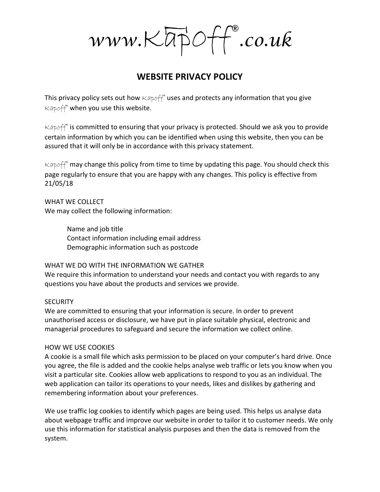$www. Kapp^\circ \rightarrow \text{co.uk}$ 

# WEBSITE PRIVACY POLICY

This privacy policy sets out how  $\kappa A$   $\beta$  for uses and protects any information that you give  $Kapoff^*$  when you use this website.

 $Kapoff$ <sup>®</sup> is committed to ensuring that your privacy is protected. Should we ask you to provide certain information by which you can be identified when using this website, then you can be assured that it will only be in accordance with this privacy statement.

 $Kapoff$ <sup>®</sup> may change this policy from time to time by updating this page. You should check this page regularly to ensure that you are happy with any changes. This policy is effective from 21/05/18

WHAT WE COLLECT We may collect the following information:

> Name and job title Contact information including email address Demographic information such as postcode

## WHAT WE DO WITH THE INFORMATION WE GATHER

We require this information to understand your needs and contact you with regards to any questions you have about the products and services we provide.

## **SECURITY**

We are committed to ensuring that your information is secure. In order to prevent unauthorised access or disclosure, we have put in place suitable physical, electronic and managerial procedures to safeguard and secure the information we collect online.

## HOW WE USE COOKIES

A cookie is a small file which asks permission to be placed on your computer's hard drive. Once you agree, the file is added and the cookie helps analyse web traffic or lets you know when you visit a particular site. Cookies allow web applications to respond to you as an individual. The web application can tailor its operations to your needs, likes and dislikes by gathering and remembering information about your preferences.

We use traffic log cookies to identify which pages are being used. This helps us analyse data about webpage traffic and improve our website in order to tailor it to customer needs. We only use this information for statistical analysis purposes and then the data is removed from the system.